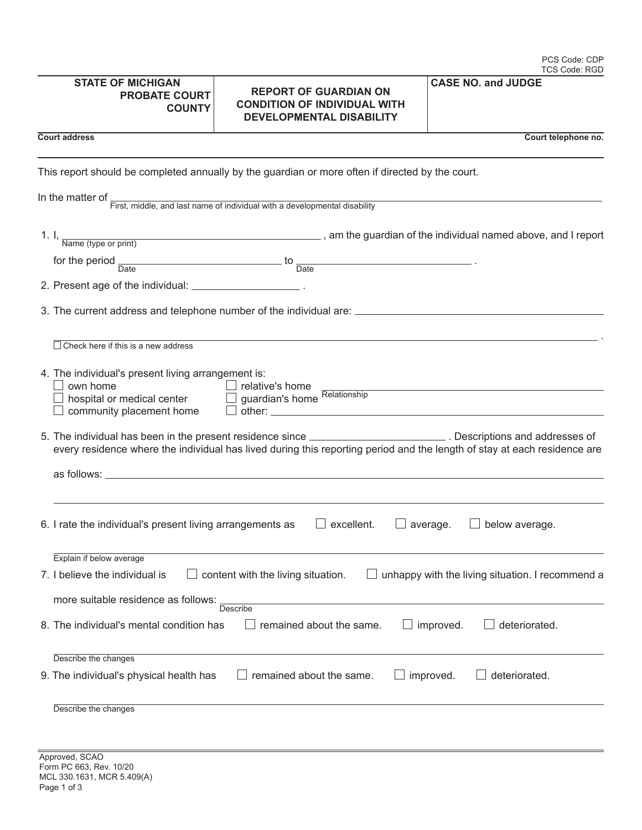| PCS Code: CDP |
|---------------|
| TCS Code: RGD |

|  |  |  | <b>CASE NO. and JUDGE</b> |
|--|--|--|---------------------------|
|--|--|--|---------------------------|

| STATE OF MICHIGAN    |
|----------------------|
| <b>PROBATE COURT</b> |
| <b>COUNTY</b>        |

## **REPORT OF GUARDIAN ON CONDITION OF INDIVIDUAL WITH DEVELOPMENTAL DISABILITY**

**Court address Court telephone no.** 

This report should be completed annually by the guardian or more often if directed by the court.

In the matter of First, middle, and last name of individual with a developmental disability

|      | Name (type or print)                                       | , am the guardian of the individual named above, and I report                                        |  |
|------|------------------------------------------------------------|------------------------------------------------------------------------------------------------------|--|
| Date |                                                            | the contract of the contract of the contract of the contract of the contract of<br>Date              |  |
|      | 2. Present age of the individual: _______________________. |                                                                                                      |  |
|      |                                                            | 3. The current address and telephone number of the individual are: _________________________________ |  |
|      |                                                            |                                                                                                      |  |

| Check here if this is a new address                                                                                                                                                                                                                                                                                                                                                                           |  |  |  |
|---------------------------------------------------------------------------------------------------------------------------------------------------------------------------------------------------------------------------------------------------------------------------------------------------------------------------------------------------------------------------------------------------------------|--|--|--|
| 4. The individual's present living arrangement is:<br>own home<br>relative's home<br>guardian's home Relationship<br>hospital or medical center<br>community placement home<br>other: when the contract of the contract of the contract of the contract of the contract of the contract of the contract of the contract of the contract of the contract of the contract of the contract of the contract of th |  |  |  |
| 5. The individual has been in the present residence since _____________________________. Descriptions and addresses of<br>every residence where the individual has lived during this reporting period and the length of stay at each residence are                                                                                                                                                            |  |  |  |
|                                                                                                                                                                                                                                                                                                                                                                                                               |  |  |  |
| 6. I rate the individual's present living arrangements as<br>excellent.<br>below average.<br>average.                                                                                                                                                                                                                                                                                                         |  |  |  |
| Explain if below average                                                                                                                                                                                                                                                                                                                                                                                      |  |  |  |
| 7. I believe the individual is<br>content with the living situation.<br>unhappy with the living situation. I recommend a                                                                                                                                                                                                                                                                                      |  |  |  |
| more suitable residence as follows:<br>Describe                                                                                                                                                                                                                                                                                                                                                               |  |  |  |
| 8. The individual's mental condition has<br>remained about the same.<br>improved.<br>deteriorated.                                                                                                                                                                                                                                                                                                            |  |  |  |
| Describe the changes                                                                                                                                                                                                                                                                                                                                                                                          |  |  |  |
| remained about the same.<br>9. The individual's physical health has<br>improved.<br>deteriorated.                                                                                                                                                                                                                                                                                                             |  |  |  |
|                                                                                                                                                                                                                                                                                                                                                                                                               |  |  |  |

Describe the changes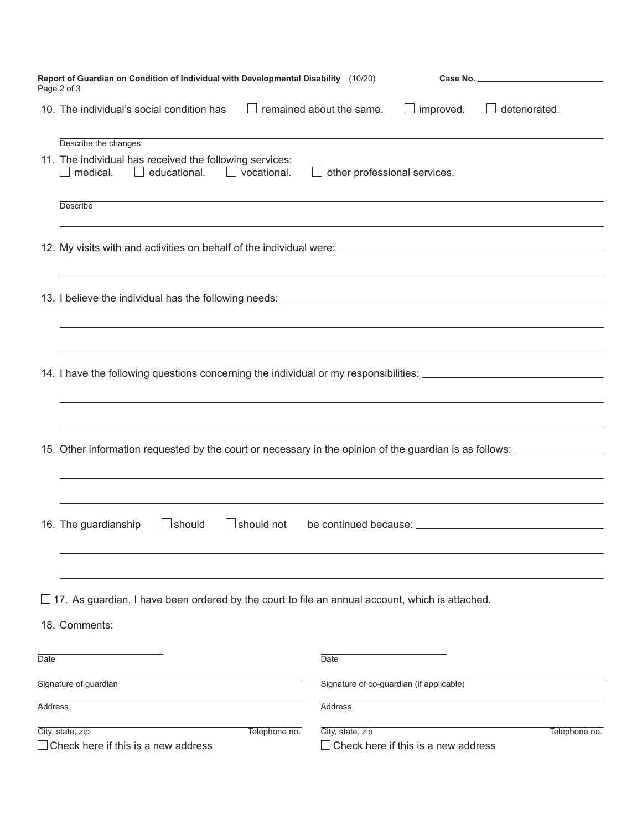|                | Report of Guardian on Condition of Individual with Developmental Disability (10/20)<br>Page 2 of 3                                                                                                                                                                                                                                                    |                                          |                                     |                         |
|----------------|-------------------------------------------------------------------------------------------------------------------------------------------------------------------------------------------------------------------------------------------------------------------------------------------------------------------------------------------------------|------------------------------------------|-------------------------------------|-------------------------|
|                | 10. The individual's social condition has $\Box$ remained about the same.                                                                                                                                                                                                                                                                             |                                          | $\Box$ improved.                    | deteriorated.<br>$\Box$ |
|                | Describe the changes<br>11. The individual has received the following services:<br>medical. $\Box$ educational. $\Box$ vocational.                                                                                                                                                                                                                    | $\Box$ other professional services.      |                                     |                         |
|                | <b>Describe</b>                                                                                                                                                                                                                                                                                                                                       |                                          |                                     |                         |
|                |                                                                                                                                                                                                                                                                                                                                                       |                                          |                                     |                         |
|                | ,我们也不会有什么。""我们的人,我们也不会有什么?""我们的人,我们也不会有什么?""我们的人,我们也不会有什么?""我们的人,我们也不会有什么?""我们的人                                                                                                                                                                                                                                                                      |                                          |                                     |                         |
|                | ,我们也不会有什么。""我们的人,我们也不会有什么?""我们的人,我们也不会有什么?""我们的人,我们也不会有什么?""我们的人,我们也不会有什么?""我们的人<br>14. I have the following questions concerning the individual or my responsibilities: _________________________<br>,我们也不能在这里的时候,我们也不能在这里的时候,我们也不能不能不能不能不能不能不能不能不能不能不能不能不能不能不能。<br>第2012章 我们的时候,我们的时候,我们的时候,我们的时候,我们的时候,我们的时候,我们的时候,我们的时候,我们的时候,我们的时候,我们的时候,我们的时候,我 |                                          |                                     |                         |
|                | <u> 1989 - Andrea Santa Alemania, amerikana amerikana amerikana amerikana amerikana amerikana amerikana amerikan</u><br>15. Other information requested by the court or necessary in the opinion of the guardian is as follows:<br>,我们也不会有什么。""我们的人,我们也不会有什么?""我们的人,我们也不会有什么?""我们的人,我们也不会有什么?""我们的人,我们也不会有什么?""我们的人                                   |                                          |                                     |                         |
|                | <u> 1989 - Andrea Santa Alemania, amerikana amerikana amerikana amerikana amerikana amerikana amerikana amerikan</u><br>$\Box$ should<br>$\Box$ should not<br>16. The guardianship                                                                                                                                                                    |                                          |                                     |                         |
|                | $\Box$ 17. As guardian, I have been ordered by the court to file an annual account, which is attached.<br>18. Comments:                                                                                                                                                                                                                               |                                          |                                     |                         |
| Date           |                                                                                                                                                                                                                                                                                                                                                       | Date                                     |                                     |                         |
|                | Signature of guardian                                                                                                                                                                                                                                                                                                                                 | Signature of co-guardian (if applicable) |                                     |                         |
| <b>Address</b> |                                                                                                                                                                                                                                                                                                                                                       | <b>Address</b>                           |                                     |                         |
|                | City, state, zip<br>Telephone no.<br>Check here if this is a new address                                                                                                                                                                                                                                                                              | City, state, zip                         | Check here if this is a new address | Telephone no.           |